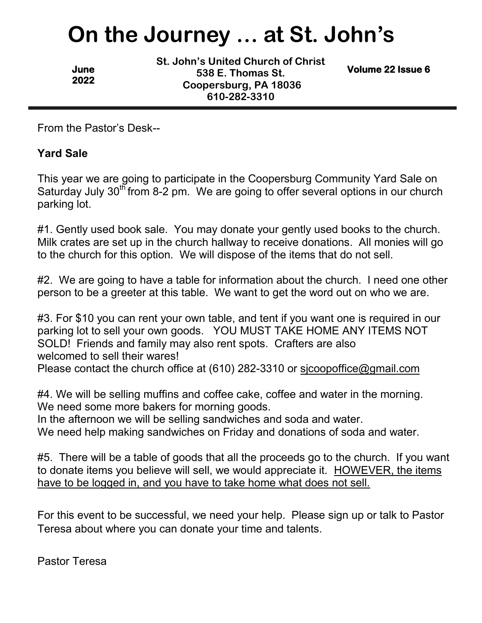# **On the Journey … at St. John's**

**June 2022**  **St. John's United Church of Christ 538 E. Thomas St. Coopersburg, PA 18036 610-282-3310**

**Volume 22 Issue 6** 

From the Pastor's Desk--

#### **Yard Sale**

This year we are going to participate in the Coopersburg Community Yard Sale on Saturday July  $30<sup>th</sup>$  from 8-2 pm. We are going to offer several options in our church parking lot.

#1. Gently used book sale. You may donate your gently used books to the church. Milk crates are set up in the church hallway to receive donations. All monies will go to the church for this option. We will dispose of the items that do not sell.

#2. We are going to have a table for information about the church. I need one other person to be a greeter at this table. We want to get the word out on who we are.

#3. For \$10 you can rent your own table, and tent if you want one is required in our parking lot to sell your own goods. YOU MUST TAKE HOME ANY ITEMS NOT SOLD! Friends and family may also rent spots. Crafters are also welcomed to sell their wares!

Please contact the church office at (610) 282-3310 or sjcoopoffice@gmail.com

#4. We will be selling muffins and coffee cake, coffee and water in the morning. We need some more bakers for morning goods.

In the afternoon we will be selling sandwiches and soda and water.

We need help making sandwiches on Friday and donations of soda and water.

#5. There will be a table of goods that all the proceeds go to the church. If you want to donate items you believe will sell, we would appreciate it. HOWEVER, the items have to be logged in, and you have to take home what does not sell.

For this event to be successful, we need your help. Please sign up or talk to Pastor Teresa about where you can donate your time and talents.

Pastor Teresa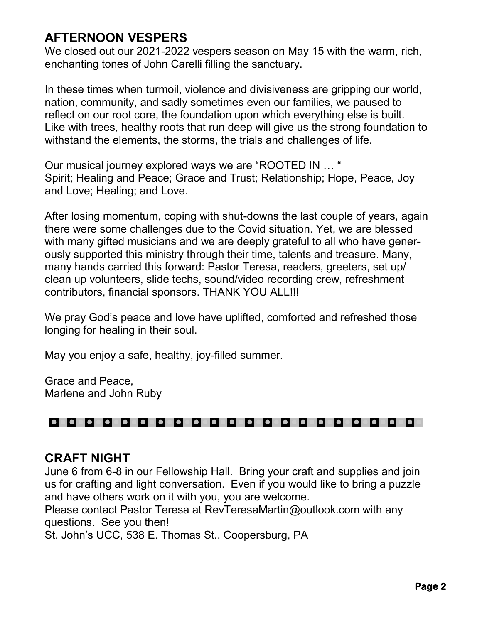# **AFTERNOON VESPERS**

We closed out our 2021-2022 vespers season on May 15 with the warm, rich, enchanting tones of John Carelli filling the sanctuary.

In these times when turmoil, violence and divisiveness are gripping our world, nation, community, and sadly sometimes even our families, we paused to reflect on our root core, the foundation upon which everything else is built. Like with trees, healthy roots that run deep will give us the strong foundation to withstand the elements, the storms, the trials and challenges of life.

Our musical journey explored ways we are "ROOTED IN … " Spirit; Healing and Peace; Grace and Trust; Relationship; Hope, Peace, Joy and Love; Healing; and Love.

After losing momentum, coping with shut-downs the last couple of years, again there were some challenges due to the Covid situation. Yet, we are blessed with many gifted musicians and we are deeply grateful to all who have generously supported this ministry through their time, talents and treasure. Many, many hands carried this forward: Pastor Teresa, readers, greeters, set up/ clean up volunteers, slide techs, sound/video recording crew, refreshment contributors, financial sponsors. THANK YOU ALL!!!

We pray God's peace and love have uplifted, comforted and refreshed those longing for healing in their soul.

May you enjoy a safe, healthy, joy-filled summer.

Grace and Peace, Marlene and John Ruby

#### 00000000000 lo o lo o lo o io o lo c

#### **CRAFT NIGHT**

June 6 from 6-8 in our Fellowship Hall. Bring your craft and supplies and join us for crafting and light conversation. Even if you would like to bring a puzzle and have others work on it with you, you are welcome.

Please contact Pastor Teresa at RevTeresaMartin@outlook.com with any questions. See you then!

St. John's UCC, 538 E. Thomas St., Coopersburg, PA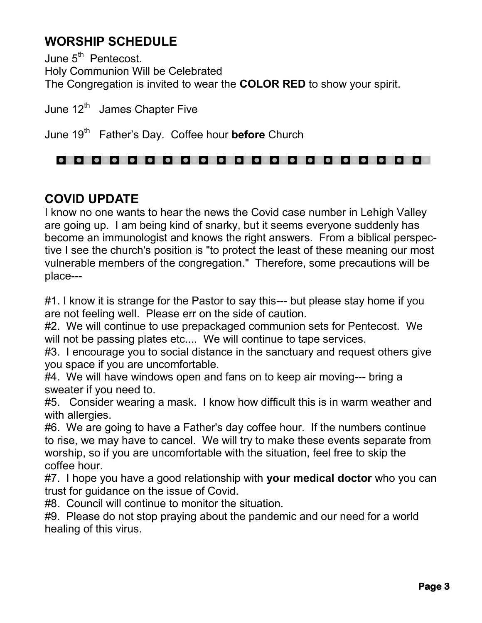# **WORSHIP SCHEDULE**

June 5<sup>th</sup> Pentecost. Holy Communion Will be Celebrated The Congregation is invited to wear the **COLOR RED** to show your spirit.

June 12<sup>th</sup> James Chapter Five

June 19<sup>th</sup> Father's Day. Coffee hour **before** Church

## 

# **COVID UPDATE**

I know no one wants to hear the news the Covid case number in Lehigh Valley are going up. I am being kind of snarky, but it seems everyone suddenly has become an immunologist and knows the right answers. From a biblical perspective I see the church's position is "to protect the least of these meaning our most vulnerable members of the congregation." Therefore, some precautions will be place---

#1. I know it is strange for the Pastor to say this--- but please stay home if you are not feeling well. Please err on the side of caution.

#2. We will continue to use prepackaged communion sets for Pentecost. We will not be passing plates etc.... We will continue to tape services.

#3. I encourage you to social distance in the sanctuary and request others give you space if you are uncomfortable.

#4. We will have windows open and fans on to keep air moving--- bring a sweater if you need to.

#5. Consider wearing a mask. I know how difficult this is in warm weather and with allergies.

#6. We are going to have a Father's day coffee hour. If the numbers continue to rise, we may have to cancel. We will try to make these events separate from worship, so if you are uncomfortable with the situation, feel free to skip the coffee hour.

#7. I hope you have a good relationship with **your medical doctor** who you can trust for guidance on the issue of Covid.

#8. Council will continue to monitor the situation.

#9. Please do not stop praying about the pandemic and our need for a world healing of this virus.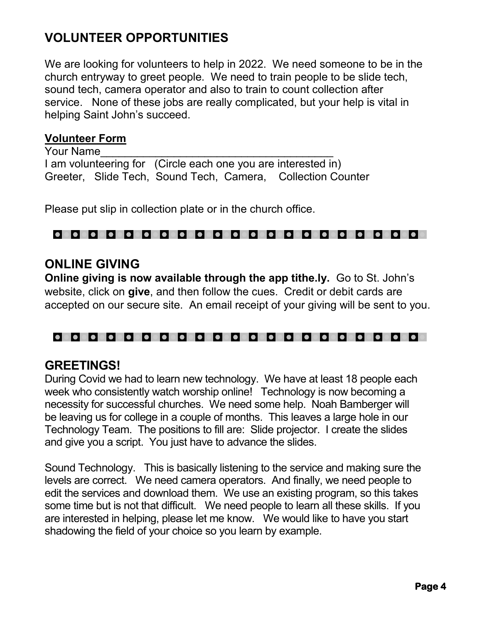# **VOLUNTEER OPPORTUNITIES**

We are looking for volunteers to help in 2022. We need someone to be in the church entryway to greet people. We need to train people to be slide tech, sound tech, camera operator and also to train to count collection after service. None of these jobs are really complicated, but your help is vital in helping Saint John's succeed.

#### **Volunteer Form**

Your Name I am volunteering for (Circle each one you are interested in) Greeter, Slide Tech, Sound Tech, Camera, Collection Counter

Please put slip in collection plate or in the church office.

#### 

#### **ONLINE GIVING**

**Online giving is now available through the app tithe.ly.** Go to St. John's website, click on **give**, and then follow the cues. Credit or debit cards are accepted on our secure site. An email receipt of your giving will be sent to you.

#### 0000000000000000000000

#### **GREETINGS!**

During Covid we had to learn new technology. We have at least 18 people each week who consistently watch worship online! Technology is now becoming a necessity for successful churches. We need some help. Noah Bamberger will be leaving us for college in a couple of months. This leaves a large hole in our Technology Team. The positions to fill are: Slide projector. I create the slides and give you a script. You just have to advance the slides.

Sound Technology. This is basically listening to the service and making sure the levels are correct. We need camera operators. And finally, we need people to edit the services and download them. We use an existing program, so this takes some time but is not that difficult. We need people to learn all these skills. If you are interested in helping, please let me know. We would like to have you start shadowing the field of your choice so you learn by example.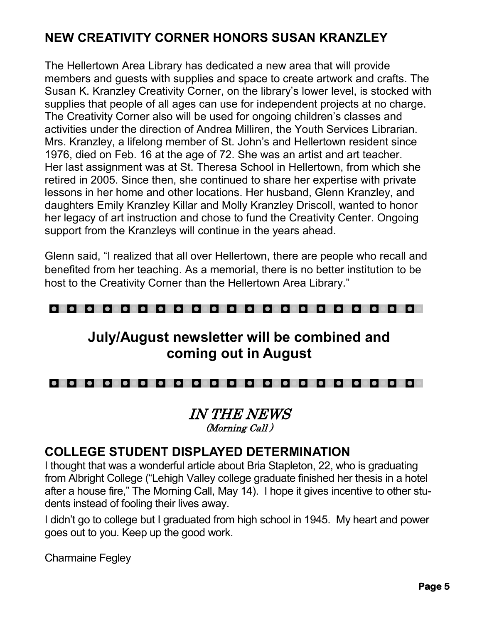# **NEW CREATIVITY CORNER HONORS SUSAN KRANZLEY**

The Hellertown Area Library has dedicated a new area that will provide members and guests with supplies and space to create artwork and crafts. The Susan K. Kranzley Creativity Corner, on the library's lower level, is stocked with supplies that people of all ages can use for independent projects at no charge. The Creativity Corner also will be used for ongoing children's classes and activities under the direction of Andrea Milliren, the Youth Services Librarian. Mrs. Kranzley, a lifelong member of St. John's and Hellertown resident since 1976, died on Feb. 16 at the age of 72. She was an artist and art teacher. Her last assignment was at St. Theresa School in Hellertown, from which she retired in 2005. Since then, she continued to share her expertise with private lessons in her home and other locations. Her husband, Glenn Kranzley, and daughters Emily Kranzley Killar and Molly Kranzley Driscoll, wanted to honor her legacy of art instruction and chose to fund the Creativity Center. Ongoing support from the Kranzleys will continue in the years ahead.

Glenn said, "I realized that all over Hellertown, there are people who recall and benefited from her teaching. As a memorial, there is no better institution to be host to the Creativity Corner than the Hellertown Area Library."

#### 000000000000000000000

# **July/August newsletter will be combined and coming out in August**

#### 0000000000000000000000

#### IN THE NEWS (Morning Call )

## **COLLEGE STUDENT DISPLAYED DETERMINATION**

I thought that was a wonderful article about Bria Stapleton, 22, who is graduating from Albright College ("Lehigh Valley college graduate finished her thesis in a hotel after a house fire," The Morning Call, May 14). I hope it gives incentive to other students instead of fooling their lives away.

I didn't go to college but I graduated from high school in 1945. My heart and power goes out to you. Keep up the good work.

Charmaine Fegley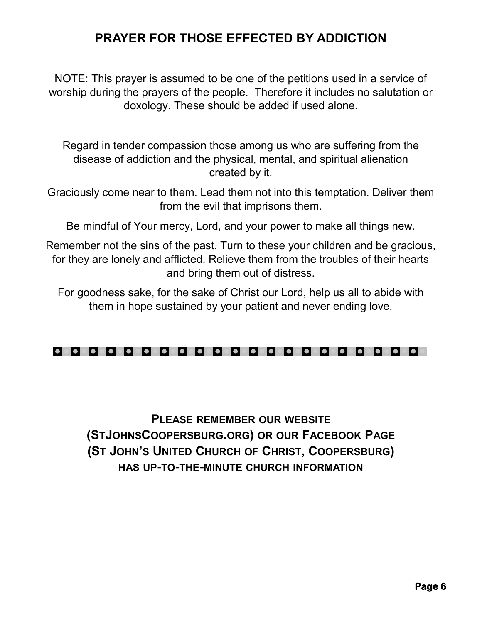# **PRAYER FOR THOSE EFFECTED BY ADDICTION**

NOTE: This prayer is assumed to be one of the petitions used in a service of worship during the prayers of the people. Therefore it includes no salutation or doxology. These should be added if used alone.

Regard in tender compassion those among us who are suffering from the disease of addiction and the physical, mental, and spiritual alienation created by it.

Graciously come near to them. Lead them not into this temptation. Deliver them from the evil that imprisons them.

Be mindful of Your mercy, Lord, and your power to make all things new.

Remember not the sins of the past. Turn to these your children and be gracious, for they are lonely and afflicted. Relieve them from the troubles of their hearts and bring them out of distress.

For goodness sake, for the sake of Christ our Lord, help us all to abide with them in hope sustained by your patient and never ending love.



# **PLEASE REMEMBER OUR WEBSITE (STJOHNSCOOPERSBURG.ORG) OR OUR FACEBOOK PAGE (ST JOHN'S UNITED CHURCH OF CHRIST, COOPERSBURG) HAS UP-TO-THE-MINUTE CHURCH INFORMATION**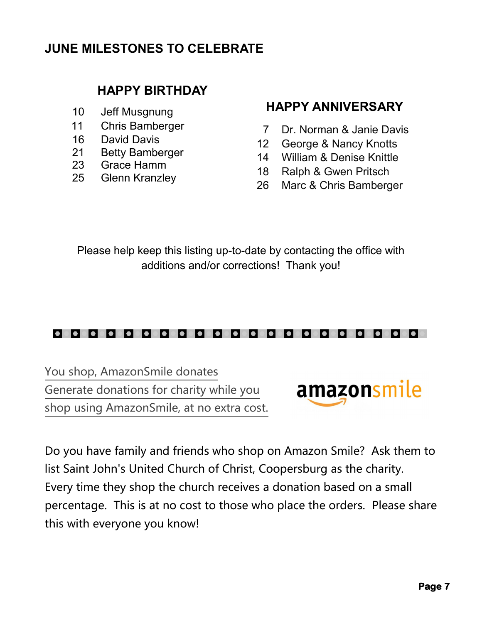# **JUNE MILESTONES TO CELEBRATE**

# **HAPPY BIRTHDAY**

- 10 Jeff Musgnung
- 11 Chris Bamberger
- 16 David Davis
- 21 Betty Bamberger
- 23 Grace Hamm
- 25 Glenn Kranzley

# **HAPPY ANNIVERSARY**

- 7 Dr. Norman & Janie Davis
- 12 George & Nancy Knotts
- 14 William & Denise Knittle
- 18 Ralph & Gwen Pritsch
- 26 Marc & Chris Bamberger

Please help keep this listing up-to-date by contacting the office with additions and/or corrections! Thank you!

## 0000000000000000000000

You shop, AmazonSmile donates Generate donations for charity while you shop using AmazonSmile, at no extra cost.



Do you have family and friends who shop on Amazon Smile? Ask them to list Saint John's United Church of Christ, Coopersburg as the charity. Every time they shop the church receives a donation based on a small percentage. This is at no cost to those who place the orders. Please share this with everyone you know!